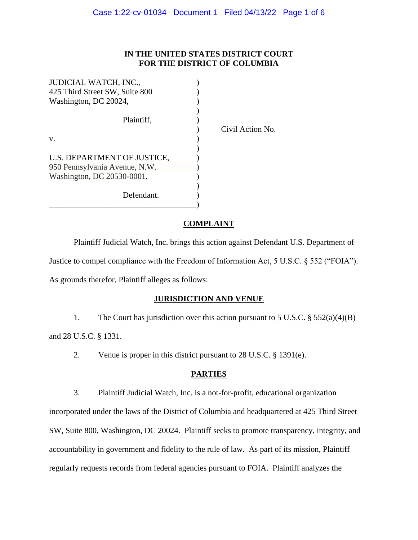## **IN THE UNITED STATES DISTRICT COURT FOR THE DISTRICT OF COLUMBIA**

| JUDICIAL WATCH, INC.,          |    |
|--------------------------------|----|
| 425 Third Street SW, Suite 800 |    |
| Washington, DC 20024,          |    |
|                                |    |
| Plaintiff.                     |    |
|                                | ોડ |
| V.                             |    |
|                                |    |
| U.S. DEPARTMENT OF JUSTICE,    |    |
| 950 Pennsylvania Avenue, N.W.  |    |
| Washington, DC 20530-0001,     |    |
|                                |    |
| Defendant.                     |    |
|                                |    |

vil Action No.

# **COMPLAINT**

Plaintiff Judicial Watch, Inc. brings this action against Defendant U.S. Department of Justice to compel compliance with the Freedom of Information Act, 5 U.S.C. § 552 ("FOIA"). As grounds therefor, Plaintiff alleges as follows:

# **JURISDICTION AND VENUE**

1. The Court has jurisdiction over this action pursuant to 5 U.S.C. § 552(a)(4)(B)

and 28 U.S.C. § 1331.

2. Venue is proper in this district pursuant to 28 U.S.C. § 1391(e).

## **PARTIES**

3. Plaintiff Judicial Watch, Inc. is a not-for-profit, educational organization

incorporated under the laws of the District of Columbia and headquartered at 425 Third Street SW, Suite 800, Washington, DC 20024. Plaintiff seeks to promote transparency, integrity, and accountability in government and fidelity to the rule of law. As part of its mission, Plaintiff regularly requests records from federal agencies pursuant to FOIA. Plaintiff analyzes the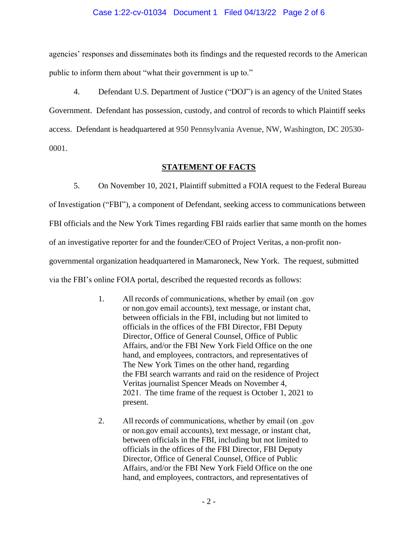#### Case 1:22-cv-01034 Document 1 Filed 04/13/22 Page 2 of 6

agencies' responses and disseminates both its findings and the requested records to the American public to inform them about "what their government is up to."

4. Defendant U.S. Department of Justice ("DOJ") is an agency of the United States Government. Defendant has possession, custody, and control of records to which Plaintiff seeks access. Defendant is headquartered at 950 Pennsylvania Avenue, NW, Washington, DC 20530- 0001.

#### **STATEMENT OF FACTS**

5. On November 10, 2021, Plaintiff submitted a FOIA request to the Federal Bureau of Investigation ("FBI"), a component of Defendant, seeking access to communications between FBI officials and the New York Times regarding FBI raids earlier that same month on the homes of an investigative reporter for and the founder/CEO of Project Veritas, a non-profit nongovernmental organization headquartered in Mamaroneck, New York. The request, submitted via the FBI's online FOIA portal, described the requested records as follows:

- 1. All records of communications, whether by email (on .gov or non.gov email accounts), text message, or instant chat, between officials in the FBI, including but not limited to officials in the offices of the FBI Director, FBI Deputy Director, Office of General Counsel, Office of Public Affairs, and/or the FBI New York Field Office on the one hand, and employees, contractors, and representatives of The New York Times on the other hand, regarding the FBI search warrants and raid on the residence of Project Veritas journalist Spencer Meads on November 4, 2021.  The time frame of the request is October 1, 2021 to present.
- 2. All records of communications, whether by email (on .gov or non.gov email accounts), text message, or instant chat, between officials in the FBI, including but not limited to officials in the offices of the FBI Director, FBI Deputy Director, Office of General Counsel, Office of Public Affairs, and/or the FBI New York Field Office on the one hand, and employees, contractors, and representatives of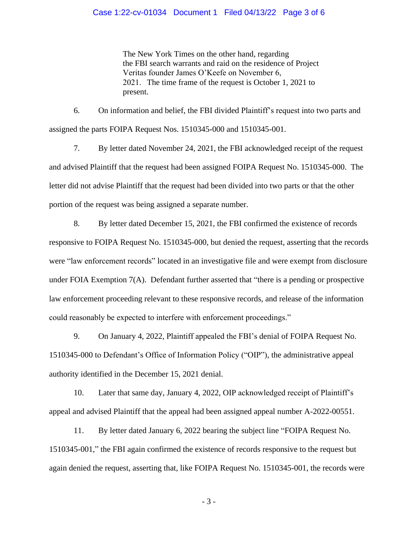#### Case 1:22-cv-01034 Document 1 Filed 04/13/22 Page 3 of 6

The New York Times on the other hand, regarding the FBI search warrants and raid on the residence of Project Veritas founder James O'Keefe on November 6, 2021.  The time frame of the request is October 1, 2021 to present.

6. On information and belief, the FBI divided Plaintiff's request into two parts and assigned the parts FOIPA Request Nos. 1510345-000 and 1510345-001.

7. By letter dated November 24, 2021, the FBI acknowledged receipt of the request and advised Plaintiff that the request had been assigned FOIPA Request No. 1510345-000. The letter did not advise Plaintiff that the request had been divided into two parts or that the other portion of the request was being assigned a separate number.

8. By letter dated December 15, 2021, the FBI confirmed the existence of records responsive to FOIPA Request No. 1510345-000, but denied the request, asserting that the records were "law enforcement records" located in an investigative file and were exempt from disclosure under FOIA Exemption 7(A). Defendant further asserted that "there is a pending or prospective law enforcement proceeding relevant to these responsive records, and release of the information could reasonably be expected to interfere with enforcement proceedings."

9. On January 4, 2022, Plaintiff appealed the FBI's denial of FOIPA Request No. 1510345-000 to Defendant's Office of Information Policy ("OIP"), the administrative appeal authority identified in the December 15, 2021 denial.

10. Later that same day, January 4, 2022, OIP acknowledged receipt of Plaintiff's appeal and advised Plaintiff that the appeal had been assigned appeal number A-2022-00551.

11. By letter dated January 6, 2022 bearing the subject line "FOIPA Request No. 1510345-001," the FBI again confirmed the existence of records responsive to the request but again denied the request, asserting that, like FOIPA Request No. 1510345-001, the records were

- 3 -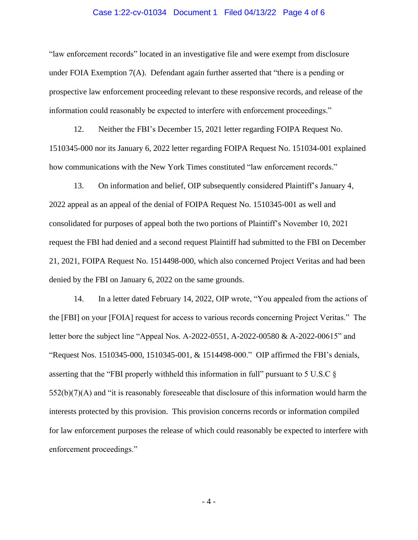#### Case 1:22-cv-01034 Document 1 Filed 04/13/22 Page 4 of 6

"law enforcement records" located in an investigative file and were exempt from disclosure under FOIA Exemption 7(A). Defendant again further asserted that "there is a pending or prospective law enforcement proceeding relevant to these responsive records, and release of the information could reasonably be expected to interfere with enforcement proceedings."

12. Neither the FBI's December 15, 2021 letter regarding FOIPA Request No. 1510345-000 nor its January 6, 2022 letter regarding FOIPA Request No. 151034-001 explained how communications with the New York Times constituted "law enforcement records."

13. On information and belief, OIP subsequently considered Plaintiff's January 4, 2022 appeal as an appeal of the denial of FOIPA Request No. 1510345-001 as well and consolidated for purposes of appeal both the two portions of Plaintiff's November 10, 2021 request the FBI had denied and a second request Plaintiff had submitted to the FBI on December 21, 2021, FOIPA Request No. 1514498-000, which also concerned Project Veritas and had been denied by the FBI on January 6, 2022 on the same grounds.

14. In a letter dated February 14, 2022, OIP wrote, "You appealed from the actions of the [FBI] on your [FOIA] request for access to various records concerning Project Veritas." The letter bore the subject line "Appeal Nos. A-2022-0551, A-2022-00580 & A-2022-00615" and "Request Nos. 1510345-000, 1510345-001, & 1514498-000." OIP affirmed the FBI's denials, asserting that the "FBI properly withheld this information in full" pursuant to 5 U.S.C §  $552(b)(7)(A)$  and "it is reasonably foreseeable that disclosure of this information would harm the interests protected by this provision. This provision concerns records or information compiled for law enforcement purposes the release of which could reasonably be expected to interfere with enforcement proceedings."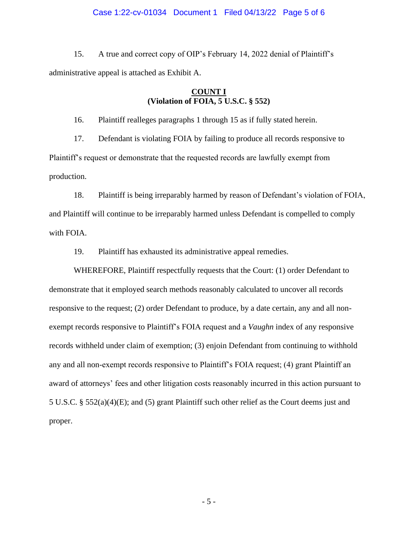#### Case 1:22-cv-01034 Document 1 Filed 04/13/22 Page 5 of 6

15. A true and correct copy of OIP's February 14, 2022 denial of Plaintiff's administrative appeal is attached as Exhibit A.

### **COUNT I (Violation of FOIA, 5 U.S.C. § 552)**

16. Plaintiff realleges paragraphs 1 through 15 as if fully stated herein.

17. Defendant is violating FOIA by failing to produce all records responsive to Plaintiff's request or demonstrate that the requested records are lawfully exempt from production.

18. Plaintiff is being irreparably harmed by reason of Defendant's violation of FOIA, and Plaintiff will continue to be irreparably harmed unless Defendant is compelled to comply with FOIA.

19. Plaintiff has exhausted its administrative appeal remedies.

WHEREFORE, Plaintiff respectfully requests that the Court: (1) order Defendant to demonstrate that it employed search methods reasonably calculated to uncover all records responsive to the request; (2) order Defendant to produce, by a date certain, any and all nonexempt records responsive to Plaintiff's FOIA request and a *Vaughn* index of any responsive records withheld under claim of exemption; (3) enjoin Defendant from continuing to withhold any and all non-exempt records responsive to Plaintiff's FOIA request; (4) grant Plaintiff an award of attorneys' fees and other litigation costs reasonably incurred in this action pursuant to 5 U.S.C. § 552(a)(4)(E); and (5) grant Plaintiff such other relief as the Court deems just and proper.

- 5 -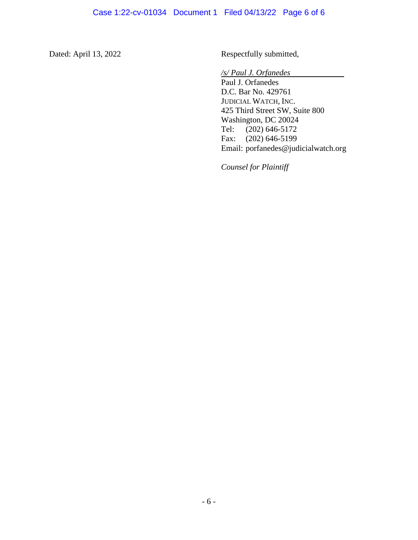Dated: April 13, 2022 Respectfully submitted,

*/s/ Paul J. Orfanedes*

Paul J. Orfanedes D.C. Bar No. 429761 JUDICIAL WATCH, INC. 425 Third Street SW, Suite 800 Washington, DC 20024<br>Tel: (202) 646-5172  $(202)$  646-5172 Fax: (202) 646-5199 Email: porfanedes@judicialwatch.org

*Counsel for Plaintiff*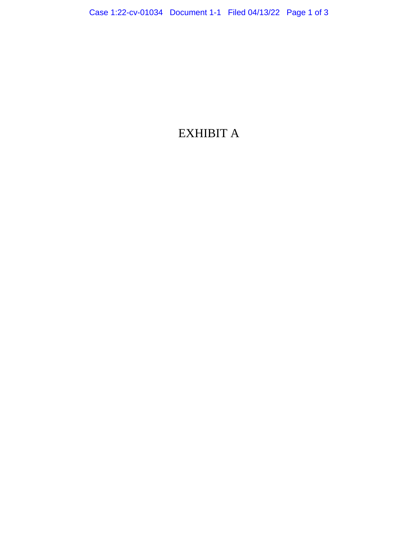# EXHIBIT A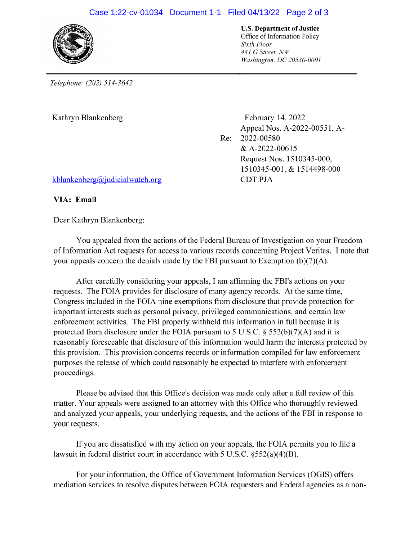# Case 1:22-cv-01034 Document 1-1 Filed 04/13/22 Page 2 of 3



**U.S. Department of Justice** Office of Information Policy Sixth Floor 441 G Street, NW Washington, DC 20530-0001

Telephone: (202) 514-3642

Kathryn Blankenberg

February 14, 2022 Appeal Nos. A-2022-00551, A-2022-00580 Re: & A-2022-00615 Request Nos. 1510345-000, 1510345-001, & 1514498-000 CDT:PJA

kblankenberg@judicialwatch.org

VIA: Email

Dear Kathryn Blankenberg:

You appealed from the actions of the Federal Bureau of Investigation on your Freedom of Information Act requests for access to various records concerning Project Veritas. I note that your appeals concern the denials made by the FBI pursuant to Exemption  $(b)(7)(A)$ .

After carefully considering your appeals, I am affirming the FBI's actions on your requests. The FOIA provides for disclosure of many agency records. At the same time, Congress included in the FOIA nine exemptions from disclosure that provide protection for important interests such as personal privacy, privileged communications, and certain law enforcement activities. The FBI properly withheld this information in full because it is protected from disclosure under the FOIA pursuant to 5 U.S.C.  $\S$  552(b)(7)(A) and it is reasonably foreseeable that disclosure of this information would harm the interests protected by this provision. This provision concerns records or information compiled for law enforcement purposes the release of which could reasonably be expected to interfere with enforcement proceedings.

Please be advised that this Office's decision was made only after a full review of this matter. Your appeals were assigned to an attorney with this Office who thoroughly reviewed and analyzed your appeals, your underlying requests, and the actions of the FBI in response to your requests.

If you are dissatisfied with my action on your appeals, the FOIA permits you to file a lawsuit in federal district court in accordance with 5 U.S.C.  $\S 552(a)(4)(B)$ .

For your information, the Office of Government Information Services (OGIS) offers mediation services to resolve disputes between FOIA requesters and Federal agencies as a non